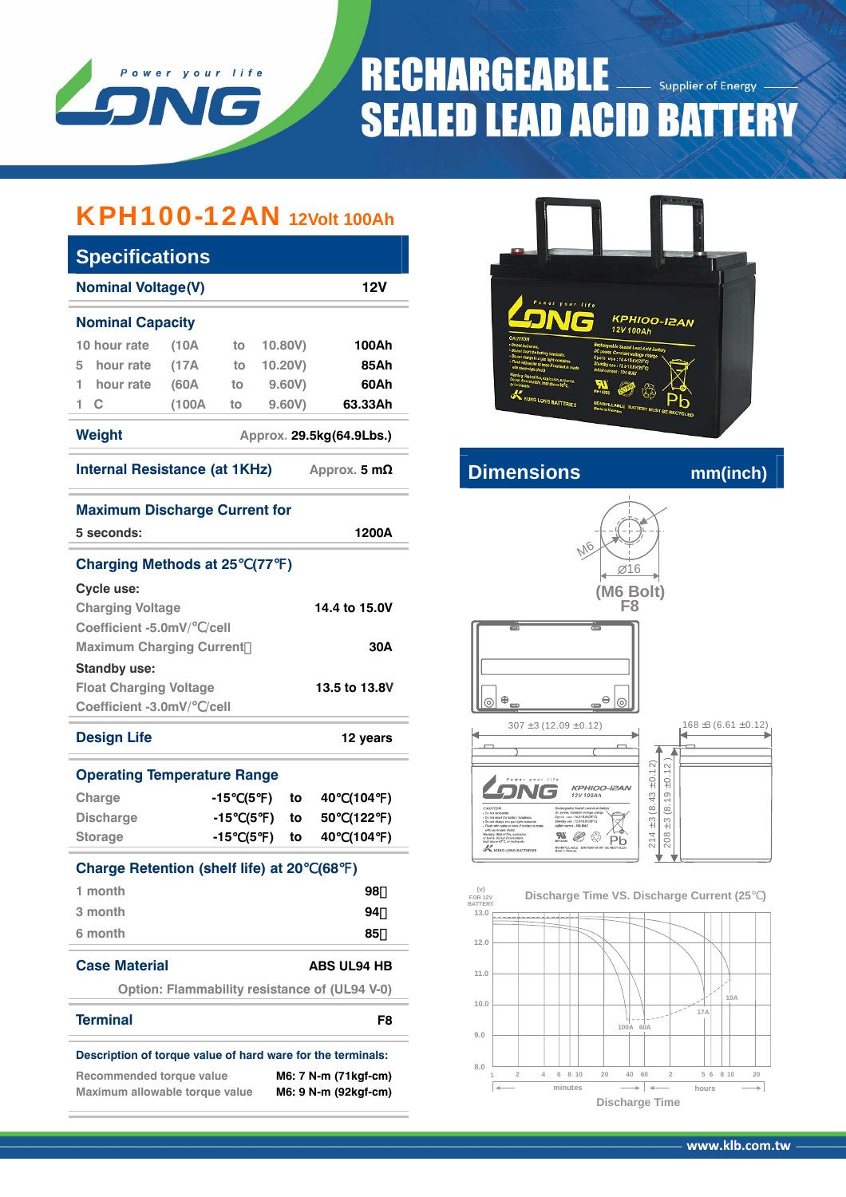

# **RECHARGEABLE Supplier of Energy SEALED LEAD ACID BATTERY**

## KPH100-12AN **12Volt 100Ah**

| <b>Specifications</b>                                                                   |                                               |       |                 |         |      |                             |           |
|-----------------------------------------------------------------------------------------|-----------------------------------------------|-------|-----------------|---------|------|-----------------------------|-----------|
| <b>Nominal Voltage(V)</b>                                                               |                                               |       |                 |         |      | 12V                         |           |
| <b>Nominal Capacity</b>                                                                 |                                               |       |                 |         |      |                             |           |
| 10 hour rate                                                                            | $A$ 0 f                                       | to    |                 | 10.80V) |      | 100Ah                       |           |
| hour rate<br>5                                                                          | (17A)                                         | to    |                 | 10.20V) |      | 85Ah                        |           |
| 1<br>hour rate                                                                          | (60A                                          | to    |                 | 9.60V)  |      | 60Ah                        |           |
| 1.<br>C                                                                                 | (100A)                                        | to    |                 | 9.60V)  |      | 63.33Ah                     |           |
| <b>Weight</b>                                                                           |                                               |       |                 |         |      | Approx. 29.5kg(64.9Lbs.)    |           |
| <b>Internal Resistance (at 1KHz)</b>                                                    |                                               |       |                 |         |      | Approx. $5 \text{ m}\Omega$ |           |
| <b>Maximum Discharge Current for</b>                                                    |                                               |       |                 |         |      |                             |           |
| 5 seconds:                                                                              |                                               |       |                 |         |      | 1200A                       |           |
| <b>Charging Methods at 25</b>                                                           |                                               |       | (77)            |         |      |                             |           |
| Cycle use:                                                                              |                                               |       |                 |         |      |                             |           |
| <b>Charging Voltage</b>                                                                 |                                               |       |                 |         |      | 14.4 to 15.0V               |           |
| Coefficient -5.0mV/ /cell                                                               |                                               |       |                 |         |      |                             |           |
| <b>Maximum Charging Current</b>                                                         |                                               |       |                 |         |      |                             | 30A       |
| <b>Standby use:</b>                                                                     |                                               |       |                 |         |      |                             |           |
| <b>Float Charging Voltage</b>                                                           |                                               |       |                 |         |      | 13.5 to 13.8V               |           |
| Coefficient -3.0mV/ /cell                                                               |                                               |       |                 |         |      |                             |           |
| <b>Design Life</b>                                                                      |                                               |       |                 |         |      | 12 years                    |           |
| <b>Operating Temperature Range</b>                                                      |                                               |       |                 |         |      |                             |           |
| Charge                                                                                  |                                               | -15   | (5<br>℩         | to      | 40 - | (104                        | $\lambda$ |
| <b>Discharge</b>                                                                        |                                               | $-15$ | (5<br>$\lambda$ | to      | 50   | (122                        | $\lambda$ |
| <b>Storage</b>                                                                          |                                               | -15   | (5<br>).        | to      | 40   | (104                        | $\lambda$ |
| <b>Charge Retention (shelf life) at 20</b>                                              |                                               |       |                 |         | (68  | )                           |           |
| 1 month                                                                                 |                                               |       |                 |         |      | 98                          |           |
| 3 month                                                                                 |                                               |       |                 |         |      | 94                          |           |
| 6 month                                                                                 |                                               |       |                 |         |      | 85                          |           |
| <b>Case Material</b>                                                                    |                                               |       |                 |         |      | <b>ABS UL94 HB</b>          |           |
|                                                                                         | Option: Flammability resistance of (UL94 V-0) |       |                 |         |      |                             |           |
| <b>Terminal</b>                                                                         |                                               |       |                 |         |      |                             | F8        |
|                                                                                         |                                               |       |                 |         |      |                             |           |
| Description of torque value of hard ware for the terminals:<br>Recommended torque value |                                               |       |                 |         |      | M6: 7 N-m (71kgf-cm)        |           |
| Maximum allowable torque value                                                          |                                               |       |                 |         |      | M6: 9 N-m (92kgf-cm)        |           |



## **Internal Resistance (a) A** *m* mm(inch)